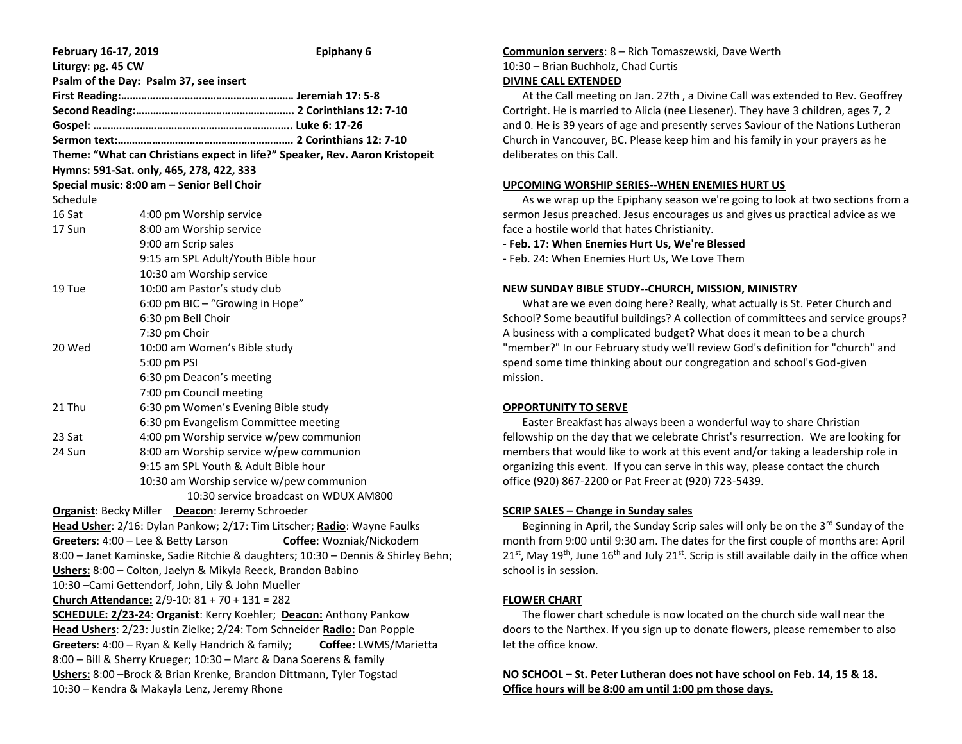| February 16-17, 2019                                                             | Epiphany 6                                 |
|----------------------------------------------------------------------------------|--------------------------------------------|
| Liturgy: pg. 45 CW                                                               |                                            |
| Psalm of the Day: Psalm 37, see insert                                           |                                            |
|                                                                                  |                                            |
|                                                                                  |                                            |
|                                                                                  |                                            |
|                                                                                  |                                            |
| Theme: "What can Christians expect in life?" Speaker, Rev. Aaron Kristopeit      |                                            |
| Hymns: 591-Sat. only, 465, 278, 422, 333                                         |                                            |
|                                                                                  | Special music: 8:00 am - Senior Bell Choir |
| Schedule                                                                         |                                            |
| 16 Sat                                                                           | 4:00 pm Worship service                    |
| 17 Sun                                                                           | 8:00 am Worship service                    |
|                                                                                  | 9:00 am Scrip sales                        |
|                                                                                  | 9:15 am SPL Adult/Youth Bible hour         |
|                                                                                  | 10:30 am Worship service                   |
| 19 Tue                                                                           | 10:00 am Pastor's study club               |
|                                                                                  | 6:00 pm BIC - "Growing in Hope"            |
|                                                                                  | 6:30 pm Bell Choir                         |
|                                                                                  | 7:30 pm Choir                              |
| 20 Wed                                                                           | 10:00 am Women's Bible study               |
|                                                                                  | 5:00 pm PSI                                |
|                                                                                  | 6:30 pm Deacon's meeting                   |
|                                                                                  | 7:00 pm Council meeting                    |
| 21 Thu                                                                           | 6:30 pm Women's Evening Bible study        |
|                                                                                  | 6:30 pm Evangelism Committee meeting       |
| 23 Sat                                                                           | 4:00 pm Worship service w/pew communion    |
| 24 Sun                                                                           | 8:00 am Worship service w/pew communion    |
|                                                                                  | 9:15 am SPL Youth & Adult Bible hour       |
|                                                                                  | 10:30 am Worship service w/pew communion   |
|                                                                                  | 10:30 service broadcast on WDUX AM800      |
| Organist: Becky Miller Deacon: Jeremy Schroeder                                  |                                            |
| Head Usher: 2/16: Dylan Pankow; 2/17: Tim Litscher; Radio: Wayne Faulks          |                                            |
| Greeters: 4:00 - Lee & Betty Larson<br>Coffee: Wozniak/Nickodem                  |                                            |
| 8:00 - Janet Kaminske, Sadie Ritchie & daughters; 10:30 - Dennis & Shirley Behn; |                                            |
| Ushers: 8:00 - Colton, Jaelyn & Mikyla Reeck, Brandon Babino                     |                                            |
| 10:30 - Cami Gettendorf, John, Lily & John Mueller                               |                                            |
| Church Attendance: 2/9-10: 81 + 70 + 131 = 282                                   |                                            |
| <b>SCHEDULE: 2/23-24: Organist: Kerry Koehler; Deacon: Anthony Pankow</b>        |                                            |
| Head Ushers: 2/23: Justin Zielke; 2/24: Tom Schneider Radio: Dan Popple          |                                            |
| Greeters: 4:00 - Ryan & Kelly Handrich & family;<br>Coffee: LWMS/Marietta        |                                            |
| 8:00 - Bill & Sherry Krueger; 10:30 - Marc & Dana Soerens & family               |                                            |
| Ushers: 8:00 - Brock & Brian Krenke, Brandon Dittmann, Tyler Togstad             |                                            |
| 10:30 - Kendra & Makayla Lenz, Jeremy Rhone                                      |                                            |

# **Communion servers**: 8 – Rich Tomaszewski, Dave Werth 10:30 – Brian Buchholz, Chad Curtis

#### **DIVINE CALL EXTENDED**

 At the Call meeting on Jan. 27th , a Divine Call was extended to Rev. Geoffrey Cortright. He is married to Alicia (nee Liesener). They have 3 children, ages 7, 2 and 0. He is 39 years of age and presently serves Saviour of the Nations Lutheran Church in Vancouver, BC. Please keep him and his family in your prayers as he deliberates on this Call.

### **UPCOMING WORSHIP SERIES--WHEN ENEMIES HURT US**

 As we wrap up the Epiphany season we're going to look at two sections from a sermon Jesus preached. Jesus encourages us and gives us practical advice as we face a hostile world that hates Christianity.

### - **Feb. 17: When Enemies Hurt Us, We're Blessed**

- Feb. 24: When Enemies Hurt Us, We Love Them

### **NEW SUNDAY BIBLE STUDY--CHURCH, MISSION, MINISTRY**

 What are we even doing here? Really, what actually is St. Peter Church and School? Some beautiful buildings? A collection of committees and service groups? A business with a complicated budget? What does it mean to be a church "member?" In our February study we'll review God's definition for "church" and spend some time thinking about our congregation and school's God-given mission.

## **OPPORTUNITY TO SERVE**

 Easter Breakfast has always been a wonderful way to share Christian fellowship on the day that we celebrate Christ's resurrection. We are looking for members that would like to work at this event and/or taking a leadership role in organizing this event. If you can serve in this way, please contact the church office (920) 867-2200 or Pat Freer at (920) 723-5439.

## **SCRIP SALES – Change in Sunday sales**

Beginning in April, the Sunday Scrip sales will only be on the 3<sup>rd</sup> Sunday of the month from 9:00 until 9:30 am. The dates for the first couple of months are: April  $21<sup>st</sup>$ , May 19<sup>th</sup>, June 16<sup>th</sup> and July 21<sup>st</sup>. Scrip is still available daily in the office when school is in session.

## **FLOWER CHART**

 The flower chart schedule is now located on the church side wall near the doors to the Narthex. If you sign up to donate flowers, please remember to also let the office know.

**NO SCHOOL – St. Peter Lutheran does not have school on Feb. 14, 15 & 18. Office hours will be 8:00 am until 1:00 pm those days.**